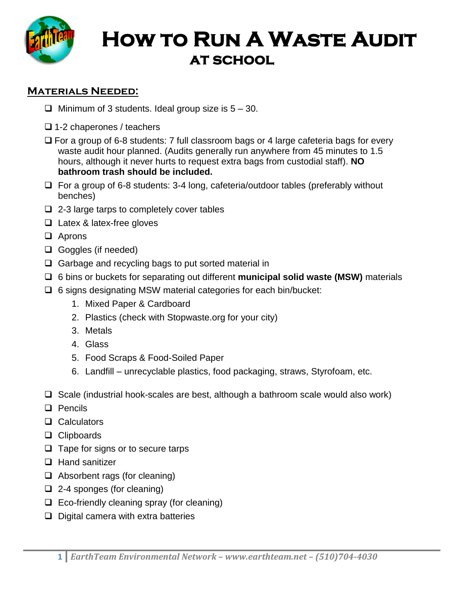

# **How to Run A Waste Audit at school**

# **Materials Needed:**

- $\Box$  Minimum of 3 students. Ideal group size is  $5 30$ .
- $\Box$  1-2 chaperones / teachers
- $\Box$  For a group of 6-8 students: 7 full classroom bags or 4 large cafeteria bags for every waste audit hour planned. (Audits generally run anywhere from 45 minutes to 1.5 hours, although it never hurts to request extra bags from custodial staff). **NO bathroom trash should be included.**
- $\Box$  For a group of 6-8 students: 3-4 long, cafeteria/outdoor tables (preferably without benches)
- $\Box$  2-3 large tarps to completely cover tables
- □ Latex & latex-free gloves
- □ Aprons
- □ Goggles (if needed)
- $\Box$  Garbage and recycling bags to put sorted material in
- 6 bins or buckets for separating out different **municipal solid waste (MSW)** materials
- $\Box$  6 signs designating MSW material categories for each bin/bucket:
	- 1. Mixed Paper & Cardboard
	- 2. Plastics (check with Stopwaste.org for your city)
	- 3. Metals
	- 4. Glass
	- 5. Food Scraps & Food-Soiled Paper
	- 6. Landfill unrecyclable plastics, food packaging, straws, Styrofoam, etc.
- $\Box$  Scale (industrial hook-scales are best, although a bathroom scale would also work)
- D Pencils
- **Q** Calculators
- □ Clipboards
- $\Box$  Tape for signs or to secure tarps
- $\Box$  Hand sanitizer
- $\Box$  Absorbent rags (for cleaning)
- $\Box$  2-4 sponges (for cleaning)
- $\Box$  Eco-friendly cleaning spray (for cleaning)
- $\Box$  Digital camera with extra batteries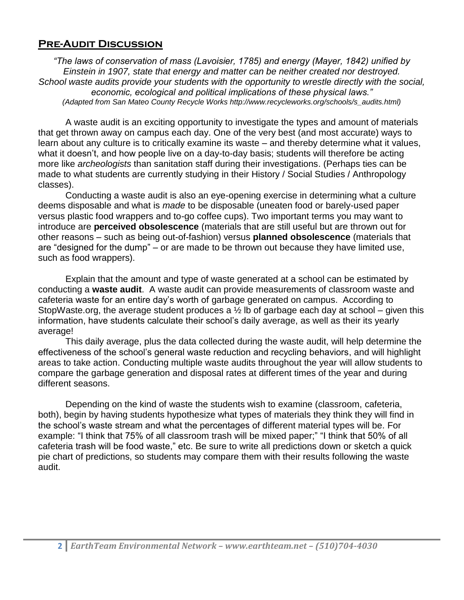## **Pre-Audit Discussion**

*"The laws of conservation of mass (Lavoisier, 1785) and energy (Mayer, 1842) unified by Einstein in 1907, state that energy and matter can be neither created nor destroyed. School waste audits provide your students with the opportunity to wrestle directly with the social, economic, ecological and political implications of these physical laws." (Adapted from San Mateo County Recycle Works http://www.recycleworks.org/schools/s\_audits.html)*

A waste audit is an exciting opportunity to investigate the types and amount of materials that get thrown away on campus each day. One of the very best (and most accurate) ways to learn about any culture is to critically examine its waste – and thereby determine what it values, what it doesn't, and how people live on a day-to-day basis; students will therefore be acting more like *archeologists* than sanitation staff during their investigations. (Perhaps ties can be made to what students are currently studying in their History / Social Studies / Anthropology classes).

Conducting a waste audit is also an eye-opening exercise in determining what a culture deems disposable and what is *made* to be disposable (uneaten food or barely-used paper versus plastic food wrappers and to-go coffee cups). Two important terms you may want to introduce are **perceived obsolescence** (materials that are still useful but are thrown out for other reasons – such as being out-of-fashion) versus **planned obsolescence** (materials that are "designed for the dump" – or are made to be thrown out because they have limited use, such as food wrappers).

Explain that the amount and type of waste generated at a school can be estimated by conducting a **waste audit**. A waste audit can provide measurements of classroom waste and cafeteria waste for an entire day's worth of garbage generated on campus. According to StopWaste.org, the average student produces a  $\frac{1}{2}$  lb of garbage each day at school – given this information, have students calculate their school's daily average, as well as their its yearly average!

This daily average, plus the data collected during the waste audit, will help determine the effectiveness of the school's general waste reduction and recycling behaviors, and will highlight areas to take action. Conducting multiple waste audits throughout the year will allow students to compare the garbage generation and disposal rates at different times of the year and during different seasons.

Depending on the kind of waste the students wish to examine (classroom, cafeteria, both), begin by having students hypothesize what types of materials they think they will find in the school's waste stream and what the percentages of different material types will be. For example: "I think that 75% of all classroom trash will be mixed paper;" "I think that 50% of all cafeteria trash will be food waste," etc. Be sure to write all predictions down or sketch a quick pie chart of predictions, so students may compare them with their results following the waste audit.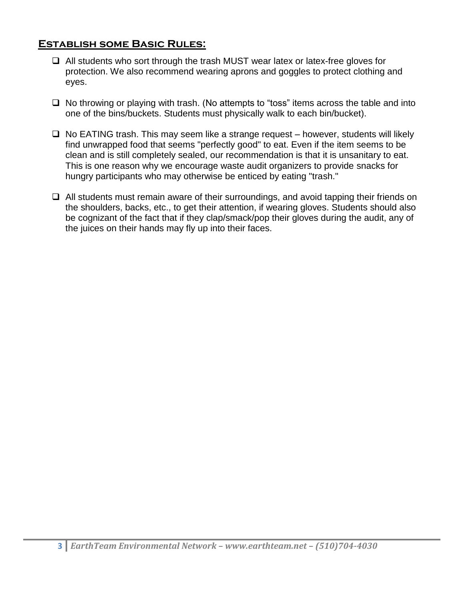## **Establish some Basic Rules:**

- $\Box$  All students who sort through the trash MUST wear latex or latex-free gloves for protection. We also recommend wearing aprons and goggles to protect clothing and eyes.
- $\Box$  No throwing or playing with trash. (No attempts to "toss" items across the table and into one of the bins/buckets. Students must physically walk to each bin/bucket).
- $\Box$  No EATING trash. This may seem like a strange request however, students will likely find unwrapped food that seems "perfectly good" to eat. Even if the item seems to be clean and is still completely sealed, our recommendation is that it is unsanitary to eat. This is one reason why we encourage waste audit organizers to provide snacks for hungry participants who may otherwise be enticed by eating "trash."
- $\Box$  All students must remain aware of their surroundings, and avoid tapping their friends on the shoulders, backs, etc., to get their attention, if wearing gloves. Students should also be cognizant of the fact that if they clap/smack/pop their gloves during the audit, any of the juices on their hands may fly up into their faces.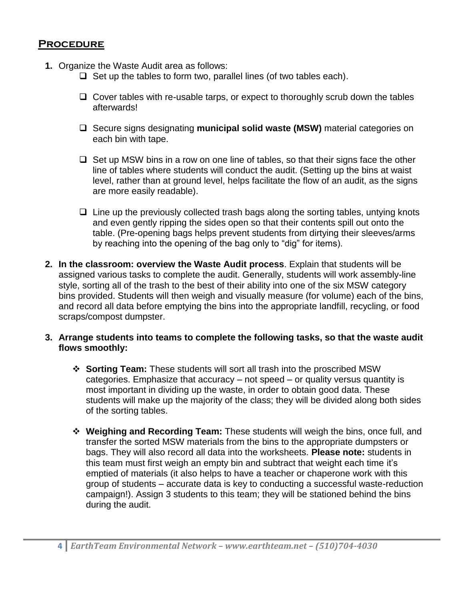### **Procedure**

- **1.** Organize the Waste Audit area as follows:
	- $\Box$  Set up the tables to form two, parallel lines (of two tables each).
	- $\Box$  Cover tables with re-usable tarps, or expect to thoroughly scrub down the tables afterwards!
	- □ Secure signs designating **municipal solid waste (MSW)** material categories on each bin with tape.
	- $\Box$  Set up MSW bins in a row on one line of tables, so that their signs face the other line of tables where students will conduct the audit. (Setting up the bins at waist level, rather than at ground level, helps facilitate the flow of an audit, as the signs are more easily readable).
	- $\Box$  Line up the previously collected trash bags along the sorting tables, untying knots and even gently ripping the sides open so that their contents spill out onto the table. (Pre-opening bags helps prevent students from dirtying their sleeves/arms by reaching into the opening of the bag only to "dig" for items).
- **2. In the classroom: overview the Waste Audit process**. Explain that students will be assigned various tasks to complete the audit. Generally, students will work assembly-line style, sorting all of the trash to the best of their ability into one of the six MSW category bins provided. Students will then weigh and visually measure (for volume) each of the bins, and record all data before emptying the bins into the appropriate landfill, recycling, or food scraps/compost dumpster.
- **3. Arrange students into teams to complete the following tasks, so that the waste audit flows smoothly:**
	- **Sorting Team:** These students will sort all trash into the proscribed MSW categories. Emphasize that accuracy – not speed – or quality versus quantity is most important in dividing up the waste, in order to obtain good data. These students will make up the majority of the class; they will be divided along both sides of the sorting tables.
	- **Weighing and Recording Team:** These students will weigh the bins, once full, and transfer the sorted MSW materials from the bins to the appropriate dumpsters or bags. They will also record all data into the worksheets. **Please note:** students in this team must first weigh an empty bin and subtract that weight each time it's emptied of materials (it also helps to have a teacher or chaperone work with this group of students – accurate data is key to conducting a successful waste-reduction campaign!). Assign 3 students to this team; they will be stationed behind the bins during the audit.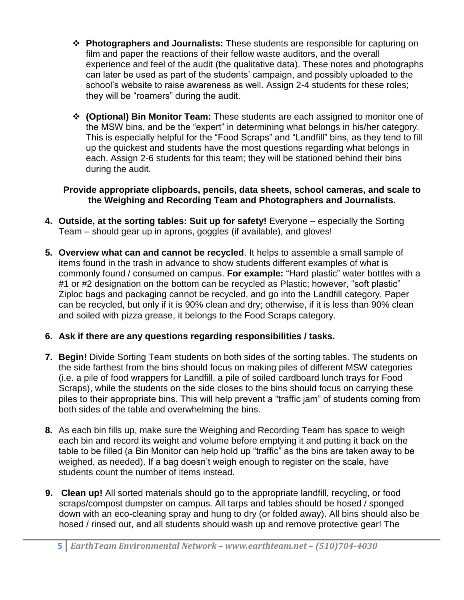- **Photographers and Journalists:** These students are responsible for capturing on film and paper the reactions of their fellow waste auditors, and the overall experience and feel of the audit (the qualitative data). These notes and photographs can later be used as part of the students' campaign, and possibly uploaded to the school's website to raise awareness as well. Assign 2-4 students for these roles; they will be "roamers" during the audit.
- **(Optional) Bin Monitor Team:** These students are each assigned to monitor one of the MSW bins, and be the "expert" in determining what belongs in his/her category. This is especially helpful for the "Food Scraps" and "Landfill" bins, as they tend to fill up the quickest and students have the most questions regarding what belongs in each. Assign 2-6 students for this team; they will be stationed behind their bins during the audit.

#### **Provide appropriate clipboards, pencils, data sheets, school cameras, and scale to the Weighing and Recording Team and Photographers and Journalists.**

- **4. Outside, at the sorting tables: Suit up for safety!** Everyone especially the Sorting Team – should gear up in aprons, goggles (if available), and gloves!
- **5. Overview what can and cannot be recycled**. It helps to assemble a small sample of items found in the trash in advance to show students different examples of what is commonly found / consumed on campus. **For example:** "Hard plastic" water bottles with a #1 or #2 designation on the bottom can be recycled as Plastic; however, "soft plastic" Ziploc bags and packaging cannot be recycled, and go into the Landfill category. Paper can be recycled, but only if it is 90% clean and dry; otherwise, if it is less than 90% clean and soiled with pizza grease, it belongs to the Food Scraps category.

## **6. Ask if there are any questions regarding responsibilities / tasks.**

- **7. Begin!** Divide Sorting Team students on both sides of the sorting tables. The students on the side farthest from the bins should focus on making piles of different MSW categories (i.e. a pile of food wrappers for Landfill, a pile of soiled cardboard lunch trays for Food Scraps), while the students on the side closes to the bins should focus on carrying these piles to their appropriate bins. This will help prevent a "traffic jam" of students coming from both sides of the table and overwhelming the bins.
- **8.** As each bin fills up, make sure the Weighing and Recording Team has space to weigh each bin and record its weight and volume before emptying it and putting it back on the table to be filled (a Bin Monitor can help hold up "traffic" as the bins are taken away to be weighed, as needed). If a bag doesn't weigh enough to register on the scale, have students count the number of items instead.
- **9. Clean up!** All sorted materials should go to the appropriate landfill, recycling, or food scraps/compost dumpster on campus. All tarps and tables should be hosed / sponged down with an eco-cleaning spray and hung to dry (or folded away). All bins should also be hosed / rinsed out, and all students should wash up and remove protective gear! The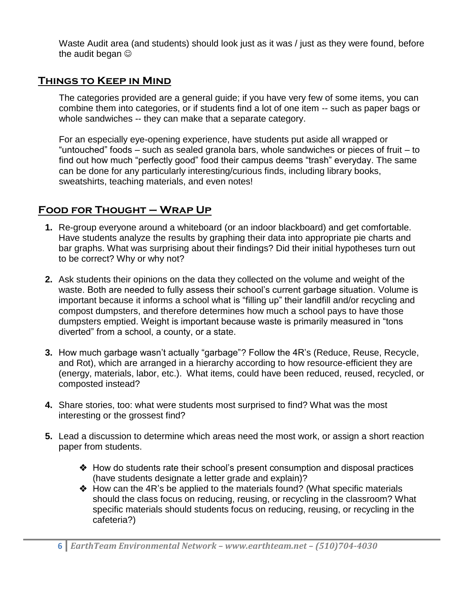Waste Audit area (and students) should look just as it was / just as they were found, before the audit began  $\odot$ 

## **Things to Keep in Mind**

The categories provided are a general guide; if you have very few of some items, you can combine them into categories, or if students find a lot of one item -- such as paper bags or whole sandwiches -- they can make that a separate category.

For an especially eye-opening experience, have students put aside all wrapped or "untouched" foods – such as sealed granola bars, whole sandwiches or pieces of fruit – to find out how much "perfectly good" food their campus deems "trash" everyday. The same can be done for any particularly interesting/curious finds, including library books, sweatshirts, teaching materials, and even notes!

# **Food for Thought – Wrap Up**

- **1.** Re-group everyone around a whiteboard (or an indoor blackboard) and get comfortable. Have students analyze the results by graphing their data into appropriate pie charts and bar graphs. What was surprising about their findings? Did their initial hypotheses turn out to be correct? Why or why not?
- **2.** Ask students their opinions on the data they collected on the volume and weight of the waste. Both are needed to fully assess their school's current garbage situation. Volume is important because it informs a school what is "filling up" their landfill and/or recycling and compost dumpsters, and therefore determines how much a school pays to have those dumpsters emptied. Weight is important because waste is primarily measured in "tons diverted" from a school, a county, or a state.
- **3.** How much garbage wasn't actually "garbage"? Follow the 4R's (Reduce, Reuse, Recycle, and Rot), which are arranged in a hierarchy according to how resource-efficient they are (energy, materials, labor, etc.). What items, could have been reduced, reused, recycled, or composted instead?
- **4.** Share stories, too: what were students most surprised to find? What was the most interesting or the grossest find?
- **5.** Lead a discussion to determine which areas need the most work, or assign a short reaction paper from students.
	- How do students rate their school's present consumption and disposal practices (have students designate a letter grade and explain)?
	- How can the 4R's be applied to the materials found? (What specific materials should the class focus on reducing, reusing, or recycling in the classroom? What specific materials should students focus on reducing, reusing, or recycling in the cafeteria?)